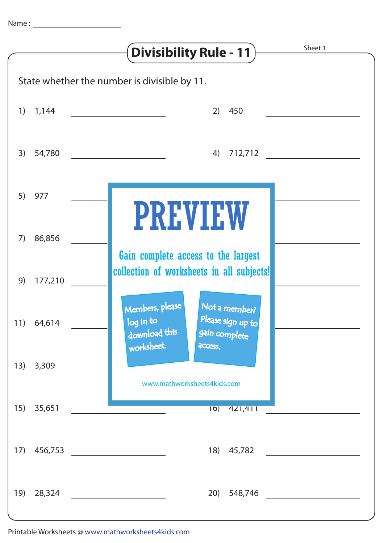|                                              |            | Sheet 1<br>Divisibility Rule - 11                                                                    |
|----------------------------------------------|------------|------------------------------------------------------------------------------------------------------|
| State whether the number is divisible by 11. |            |                                                                                                      |
|                                              | $1)$ 1,144 | 450<br>2)                                                                                            |
| 3)                                           | 54,780     | 712,712<br>4)                                                                                        |
| 5)                                           | 977        |                                                                                                      |
| 7)                                           | 86,856     | <b>PREVIEW</b>                                                                                       |
| 9)                                           | 177,210    | Gain complete access to the largest<br>collection of worksheets in all subjects!                     |
|                                              | 11) 64,614 | Members, please<br>Not a member?<br>Please sign up to<br>log in to<br>download this<br>gain complete |
| 13)                                          | 3,309      | worksheet.<br>access.<br>www.mathworksheets4kids.com                                                 |
| 15)                                          | 35,651     | $\overline{16)}$<br>421,411                                                                          |
| 17)                                          | 456,753    | 18)<br>45,782                                                                                        |
| 19)                                          | 28,324     | 20)<br>548,746                                                                                       |